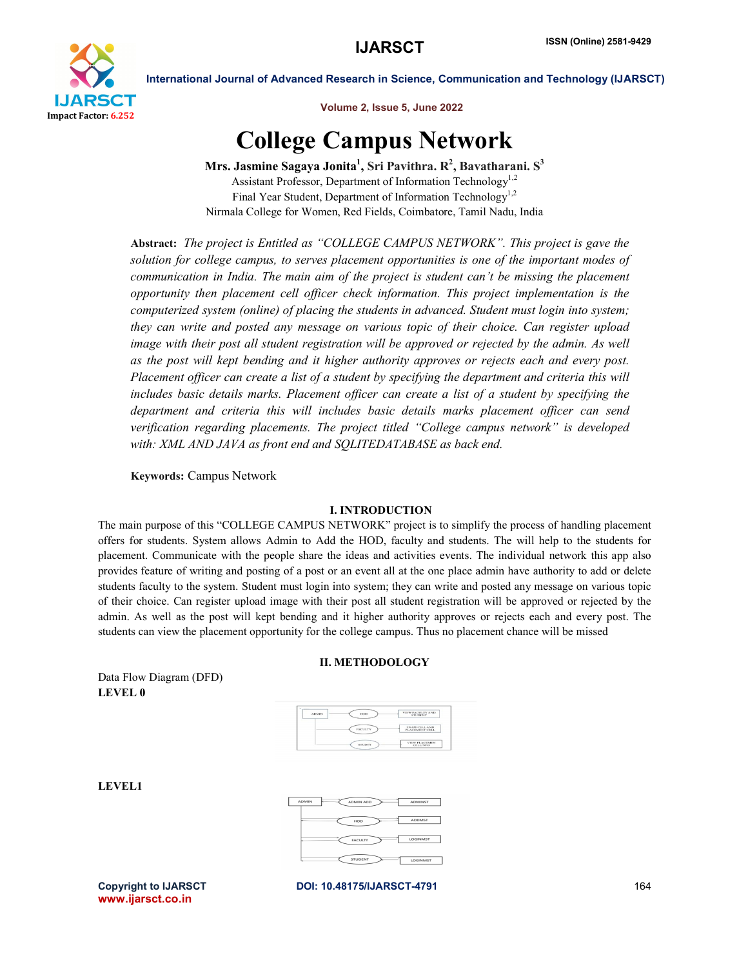

International Journal of Advanced Research in Science, Communication and Technology (IJARSCT)

Volume 2, Issue 5, June 2022

# College Campus Network

Mrs. Jasmine Sagaya Jonita $^1$ , Sri Pavithra. R $^2$ , Bavatharani. S $^3$ Assistant Professor, Department of Information Technology<sup>1,2</sup> Final Year Student, Department of Information Technology<sup>1,2</sup> Nirmala College for Women, Red Fields, Coimbatore, Tamil Nadu, India

Abstract: *The project is Entitled as "COLLEGE CAMPUS NETWORK". This project is gave the solution for college campus, to serves placement opportunities is one of the important modes of communication in India. The main aim of the project is student can't be missing the placement opportunity then placement cell officer check information. This project implementation is the computerized system (online) of placing the students in advanced. Student must login into system; they can write and posted any message on various topic of their choice. Can register upload image with their post all student registration will be approved or rejected by the admin. As well as the post will kept bending and it higher authority approves or rejects each and every post. Placement officer can create a list of a student by specifying the department and criteria this will includes basic details marks. Placement officer can create a list of a student by specifying the department and criteria this will includes basic details marks placement officer can send verification regarding placements. The project titled "College campus network" is developed with: XML AND JAVA as front end and SQLITEDATABASE as back end.*

Keywords: Campus Network

#### I. INTRODUCTION

The main purpose of this "COLLEGE CAMPUS NETWORK" project is to simplify the process of handling placement offers for students. System allows Admin to Add the HOD, faculty and students. The will help to the students for placement. Communicate with the people share the ideas and activities events. The individual network this app also provides feature of writing and posting of a post or an event all at the one place admin have authority to add or delete students faculty to the system. Student must login into system; they can write and posted any message on various topic of their choice. Can register upload image with their post all student registration will be approved or rejected by the admin. As well as the post will kept bending and it higher authority approves or rejects each and every post. The students can view the placement opportunity for the college campus. Thus no placement chance will be missed

#### II. METHODOLOGY

Data Flow Diagram (DFD) LEVEL 0

| EIGHT          | VIEW FACULTY AND<br><b>STUDENT</b>    |
|----------------|---------------------------------------|
| <b>FACULTY</b> | <b>EXAM CELLAND</b><br>PLACEMENT CELL |
| <b>STUDNT</b>  | VIEW PLACEMEN<br><b>CELLINEO</b>      |

LEVEL1



www.ijarsct.co.in

Copyright to IJARSCT DOI: 10.48175/IJARSCT-4791 **164**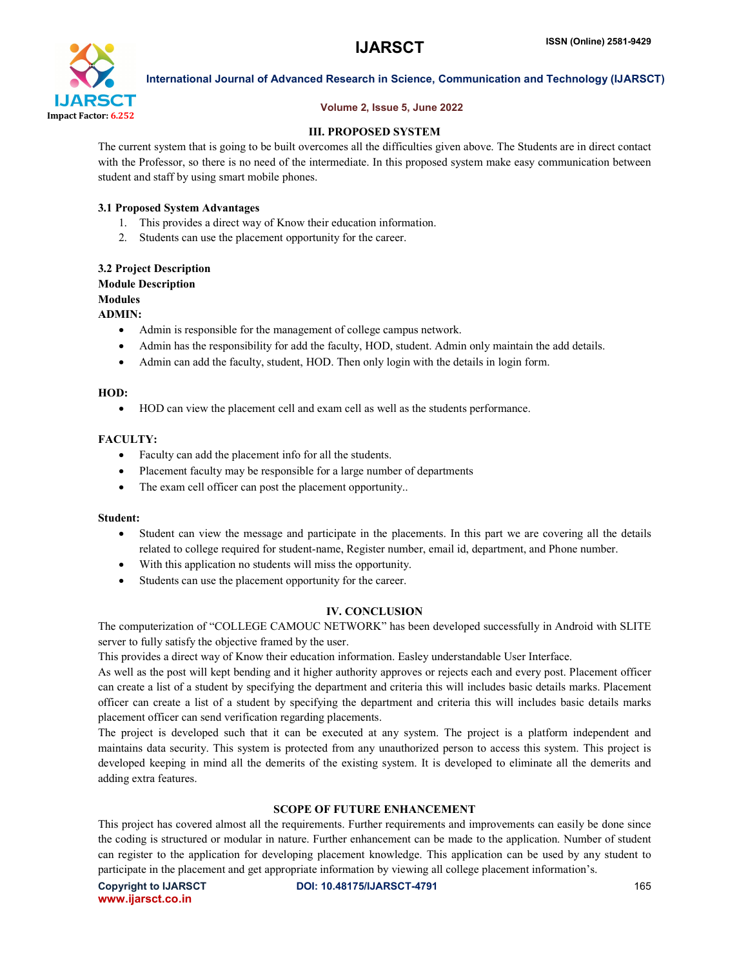

### Volume 2, Issue 5, June 2022

International Journal of Advanced Research in Science, Communication and Technology (IJARSCT)

### III. PROPOSED SYSTEM

The current system that is going to be built overcomes all the difficulties given above. The Students are in direct contact with the Professor, so there is no need of the intermediate. In this proposed system make easy communication between student and staff by using smart mobile phones.

#### 3.1 Proposed System Advantages

- 1. This provides a direct way of Know their education information.
- 2. Students can use the placement opportunity for the career.

#### 3.2 Project Description Module Description Modules

## ADMIN:

- Admin is responsible for the management of college campus network.
- Admin has the responsibility for add the faculty, HOD, student. Admin only maintain the add details.
- Admin can add the faculty, student, HOD. Then only login with the details in login form.

#### HOD:

HOD can view the placement cell and exam cell as well as the students performance.

#### FACULTY:

- Faculty can add the placement info for all the students.
- Placement faculty may be responsible for a large number of departments
- The exam cell officer can post the placement opportunity..

#### Student:

- Student can view the message and participate in the placements. In this part we are covering all the details related to college required for student-name, Register number, email id, department, and Phone number.
- With this application no students will miss the opportunity.
- Students can use the placement opportunity for the career.

#### IV. CONCLUSION

The computerization of "COLLEGE CAMOUC NETWORK" has been developed successfully in Android with SLITE server to fully satisfy the objective framed by the user.

This provides a direct way of Know their education information. Easley understandable User Interface.

As well as the post will kept bending and it higher authority approves or rejects each and every post. Placement officer can create a list of a student by specifying the department and criteria this will includes basic details marks. Placement officer can create a list of a student by specifying the department and criteria this will includes basic details marks placement officer can send verification regarding placements.

The project is developed such that it can be executed at any system. The project is a platform independent and maintains data security. This system is protected from any unauthorized person to access this system. This project is developed keeping in mind all the demerits of the existing system. It is developed to eliminate all the demerits and adding extra features.

#### SCOPE OF FUTURE ENHANCEMENT

This project has covered almost all the requirements. Further requirements and improvements can easily be done since the coding is structured or modular in nature. Further enhancement can be made to the application. Number of student can register to the application for developing placement knowledge. This application can be used by any student to participate in the placement and get appropriate information by viewing all college placement information's.

www.ijarsct.co.in